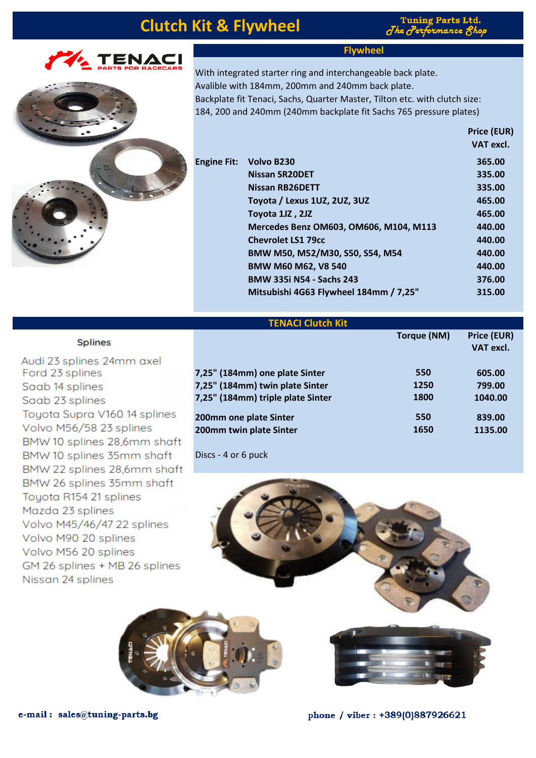# **Clutch Kit & Flywheel**

**Tuning Parts Ltd.** The  $\sigma$ erformance  $\delta$ 

**Price (EUR)**

**Torque (NM) Price (EUR)**

**VAT excl.**



Volvo M56/58 23 splines

Toyota R154 21 splines

Volvo M90 20 splines Volvo M56 20 splines

Volvo M45/46/47 22 splines

GM 26 splines + MB 26 splines

Mazda 23 splines

Nissan 24 splines

BMW 10 splines 28,6mm shaft BMW 10 splines 35mm shaft BMW 22 splines 28,6mm shaft BMW 26 splines 35mm shaft

### **Flywheel**

With integrated starter ring and interchangeable back plate. Avalible with 184mm, 200mm and 240mm back plate. Backplate fit Tenaci, Sachs, Quarter Master, Tilton etc. with clutch size: 184, 200 and 240mm (240mm backplate fit Sachs 765 pressure plates)

|                    |                                        | <b>FILE LUNI</b> |  |
|--------------------|----------------------------------------|------------------|--|
|                    |                                        | VAT excl.        |  |
| <b>Engine Fit:</b> | Volvo B230                             | 365.00           |  |
|                    | <b>Nissan SR20DET</b>                  | 335.00           |  |
|                    | <b>Nissan RB26DETT</b>                 | 335.00           |  |
|                    | Toyota / Lexus 1UZ, 2UZ, 3UZ           | 465.00           |  |
|                    | Toyota 1JZ, 2JZ                        | 465.00           |  |
|                    | Mercedes Benz OM603, OM606, M104, M113 | 440.00           |  |
|                    | <b>Chevrolet LS1 79cc</b>              | 440.00           |  |
|                    | BMW M50, M52/M30, S50, S54, M54        | 440.00           |  |
|                    | <b>BMW M60 M62, V8 540</b>             | 440.00           |  |
|                    | <b>BMW 335i N54 - Sachs 243</b>        | 376.00           |  |
|                    | Mitsubishi 4G63 Flywheel 184mm / 7,25" | 315.00           |  |
|                    |                                        |                  |  |

#### **TENACI Clutch Kit**

| <b>Splines</b>               |                                   | Torque (IVIVI) | <b>Price (EU)</b><br><b>VAT excl</b> |
|------------------------------|-----------------------------------|----------------|--------------------------------------|
| Audi 23 splines 24mm axel    |                                   |                |                                      |
| Ford 23 splines              | 7,25" (184mm) one plate Sinter    | 550            | 605.00                               |
| Saab 14 splines              | 7,25" (184mm) twin plate Sinter   | 1250           | 799.00                               |
| Saab 23 splines              | 7,25" (184mm) triple plate Sinter | 1800           | 1040.00                              |
| Toyota Supra V160 14 splines | 200mm one plate Sinter            | 550            | 839.00                               |

Discs - 4 or 6 puck



**200mm twin plate Sinter 1650 1135.00**





phone / viber : +389(0)887926621